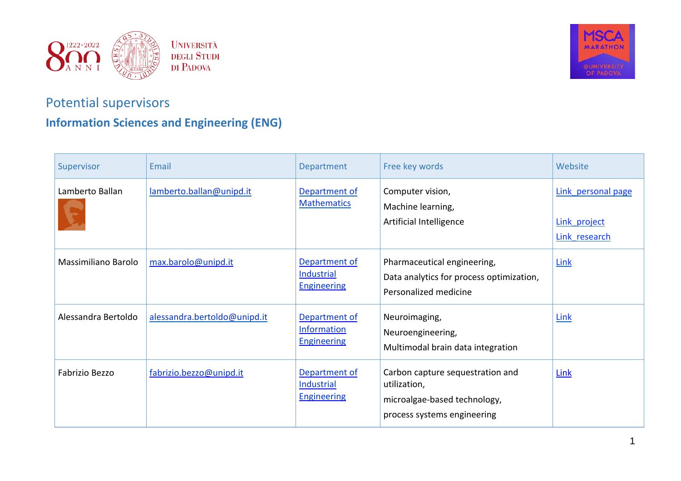



## Potential supervisors

## **Information Sciences and Engineering (ENG)**

| Supervisor          | Email                        | Department                                                | Free key words                                                                                                  | Website                                             |
|---------------------|------------------------------|-----------------------------------------------------------|-----------------------------------------------------------------------------------------------------------------|-----------------------------------------------------|
| Lamberto Ballan     | lamberto.ballan@unipd.it     | Department of<br><b>Mathematics</b>                       | Computer vision,<br>Machine learning,<br>Artificial Intelligence                                                | Link personal page<br>Link project<br>Link research |
| Massimiliano Barolo | max.barolo@unipd.it          | Department of<br>Industrial<br><b>Engineering</b>         | Pharmaceutical engineering,<br>Data analytics for process optimization,<br>Personalized medicine                | <b>Link</b>                                         |
| Alessandra Bertoldo | alessandra.bertoldo@unipd.it | Department of<br><b>Information</b><br><b>Engineering</b> | Neuroimaging,<br>Neuroengineering,<br>Multimodal brain data integration                                         | Link                                                |
| Fabrizio Bezzo      | fabrizio.bezzo@unipd.it      | Department of<br><b>Industrial</b><br><b>Engineering</b>  | Carbon capture sequestration and<br>utilization,<br>microalgae-based technology,<br>process systems engineering | <b>Link</b>                                         |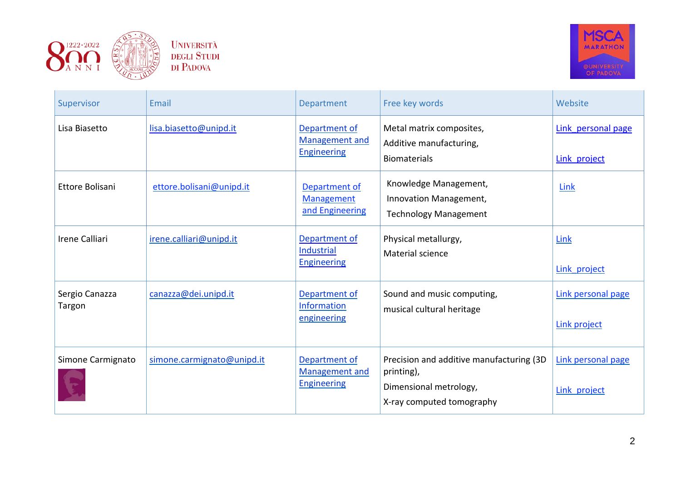



| Supervisor               | Email                      | Department                                                   | Free key words                                                                                                | Website                                   |
|--------------------------|----------------------------|--------------------------------------------------------------|---------------------------------------------------------------------------------------------------------------|-------------------------------------------|
| Lisa Biasetto            | lisa.biasetto@unipd.it     | Department of<br><b>Management and</b><br><b>Engineering</b> | Metal matrix composites,<br>Additive manufacturing,<br><b>Biomaterials</b>                                    | Link personal page<br>Link project        |
| Ettore Bolisani          | ettore.bolisani@unipd.it   | Department of<br><b>Management</b><br>and Engineering        | Knowledge Management,<br>Innovation Management,<br><b>Technology Management</b>                               | Link                                      |
| <b>Irene Calliari</b>    | irene.calliari@unipd.it    | Department of<br>Industrial<br><b>Engineering</b>            | Physical metallurgy,<br>Material science                                                                      | Link<br>Link project                      |
| Sergio Canazza<br>Targon | canazza@dei.unipd.it       | Department of<br>Information<br>engineering                  | Sound and music computing,<br>musical cultural heritage                                                       | Link personal page<br><b>Link project</b> |
| Simone Carmignato        | simone.carmignato@unipd.it | Department of<br><b>Management and</b><br><b>Engineering</b> | Precision and additive manufacturing (3D<br>printing),<br>Dimensional metrology,<br>X-ray computed tomography | Link personal page<br>Link project        |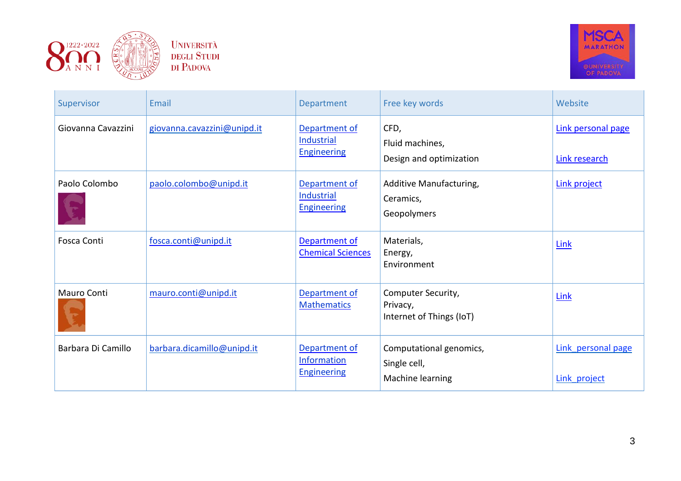



| Supervisor         | Email                       | Department                                                | Free key words                                              | Website                             |
|--------------------|-----------------------------|-----------------------------------------------------------|-------------------------------------------------------------|-------------------------------------|
| Giovanna Cavazzini | giovanna.cavazzini@unipd.it | Department of<br>Industrial<br><b>Engineering</b>         | CFD,<br>Fluid machines,<br>Design and optimization          | Link personal page<br>Link research |
| Paolo Colombo      | paolo.colombo@unipd.it      | Department of<br>Industrial<br><b>Engineering</b>         | Additive Manufacturing,<br>Ceramics,<br>Geopolymers         | <b>Link project</b>                 |
| Fosca Conti        | fosca.conti@unipd.it        | Department of<br><b>Chemical Sciences</b>                 | Materials,<br>Energy,<br>Environment                        | Link                                |
| Mauro Conti        | mauro.conti@unipd.it        | Department of<br><b>Mathematics</b>                       | Computer Security,<br>Privacy,<br>Internet of Things (IoT)  | Link                                |
| Barbara Di Camillo | barbara.dicamillo@unipd.it  | Department of<br><b>Information</b><br><b>Engineering</b> | Computational genomics,<br>Single cell,<br>Machine learning | Link personal page<br>Link project  |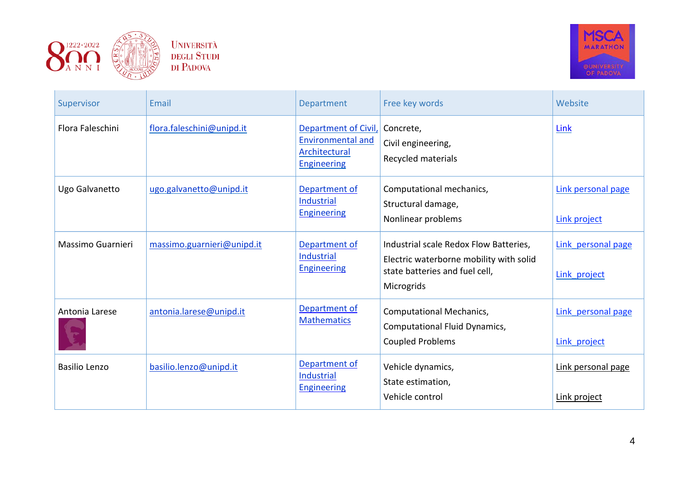



| Supervisor           | Email                      | <b>Department</b>                                                                       | Free key words                                                                                                                    | Website                            |
|----------------------|----------------------------|-----------------------------------------------------------------------------------------|-----------------------------------------------------------------------------------------------------------------------------------|------------------------------------|
| Flora Faleschini     | flora.faleschini@unipd.it  | Department of Civil,<br><b>Environmental and</b><br>Architectural<br><b>Engineering</b> | Concrete,<br>Civil engineering,<br>Recycled materials                                                                             | Link                               |
| Ugo Galvanetto       | ugo.galvanetto@unipd.it    | Department of<br>Industrial<br><b>Engineering</b>                                       | Computational mechanics,<br>Structural damage,<br>Nonlinear problems                                                              | Link personal page<br>Link project |
| Massimo Guarnieri    | massimo.guarnieri@unipd.it | Department of<br>Industrial<br><b>Engineering</b>                                       | Industrial scale Redox Flow Batteries,<br>Electric waterborne mobility with solid<br>state batteries and fuel cell,<br>Microgrids | Link personal page<br>Link project |
| Antonia Larese       | antonia.larese@unipd.it    | Department of<br><b>Mathematics</b>                                                     | <b>Computational Mechanics,</b><br>Computational Fluid Dynamics,<br><b>Coupled Problems</b>                                       | Link personal page<br>Link project |
| <b>Basilio Lenzo</b> | basilio.lenzo@unipd.it     | Department of<br>Industrial<br><b>Engineering</b>                                       | Vehicle dynamics,<br>State estimation,<br>Vehicle control                                                                         | Link personal page<br>Link project |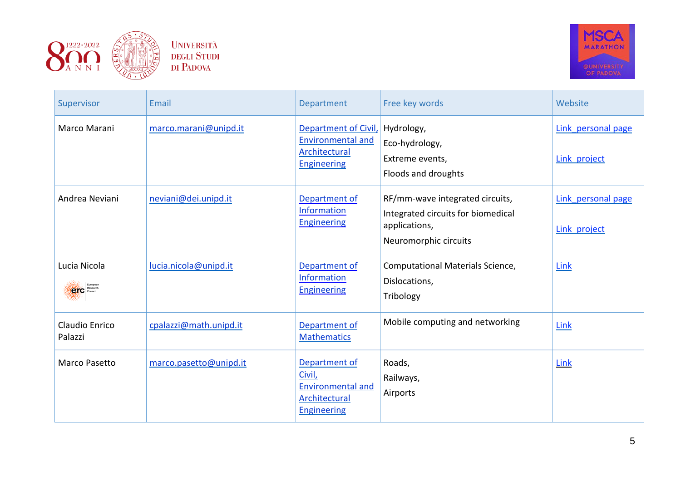



| Supervisor                          | Email                  | Department                                                                                 | Free key words                                                                                                  | Website                            |
|-------------------------------------|------------------------|--------------------------------------------------------------------------------------------|-----------------------------------------------------------------------------------------------------------------|------------------------------------|
| Marco Marani                        | marco.marani@unipd.it  | Department of Civil,<br><b>Environmental and</b><br>Architectural<br><b>Engineering</b>    | Hydrology,<br>Eco-hydrology,<br>Extreme events,<br>Floods and droughts                                          | Link personal page<br>Link project |
| Andrea Neviani                      | neviani@dei.unipd.it   | Department of<br>Information<br><b>Engineering</b>                                         | RF/mm-wave integrated circuits,<br>Integrated circuits for biomedical<br>applications,<br>Neuromorphic circuits | Link personal page<br>Link project |
| Lucia Nicola<br><b>CHC</b> Research | lucia.nicola@unipd.it  | Department of<br>Information<br><b>Engineering</b>                                         | Computational Materials Science,<br>Dislocations,<br>Tribology                                                  | Link                               |
| Claudio Enrico<br>Palazzi           | cpalazzi@math.unipd.it | Department of<br><b>Mathematics</b>                                                        | Mobile computing and networking                                                                                 | Link                               |
| Marco Pasetto                       | marco.pasetto@unipd.it | Department of<br>Civil,<br><b>Environmental and</b><br>Architectural<br><b>Engineering</b> | Roads,<br>Railways,<br>Airports                                                                                 | Link                               |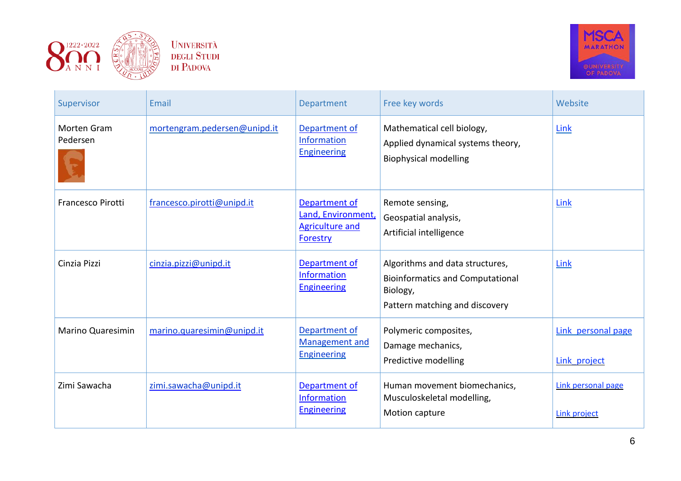



| Supervisor               | Email                        | Department                                                                | Free key words                                                                                                           | Website                            |
|--------------------------|------------------------------|---------------------------------------------------------------------------|--------------------------------------------------------------------------------------------------------------------------|------------------------------------|
| Morten Gram<br>Pedersen  | mortengram.pedersen@unipd.it | Department of<br><b>Information</b><br><b>Engineering</b>                 | Mathematical cell biology,<br>Applied dynamical systems theory,<br><b>Biophysical modelling</b>                          | Link                               |
| Francesco Pirotti        | francesco.pirotti@unipd.it   | Department of<br>Land, Environment,<br><b>Agriculture and</b><br>Forestry | Remote sensing,<br>Geospatial analysis,<br>Artificial intelligence                                                       | Link                               |
| Cinzia Pizzi             | cinzia.pizzi@unipd.it        | Department of<br><b>Information</b><br><b>Engineering</b>                 | Algorithms and data structures,<br><b>Bioinformatics and Computational</b><br>Biology,<br>Pattern matching and discovery | <b>Link</b>                        |
| <b>Marino Quaresimin</b> | marino.quaresimin@unipd.it   | Department of<br>Management and<br><b>Engineering</b>                     | Polymeric composites,<br>Damage mechanics,<br>Predictive modelling                                                       | Link personal page<br>Link project |
| Zimi Sawacha             | zimi.sawacha@unipd.it        | Department of<br><b>Information</b><br><b>Engineering</b>                 | Human movement biomechanics,<br>Musculoskeletal modelling,<br>Motion capture                                             | Link personal page<br>Link project |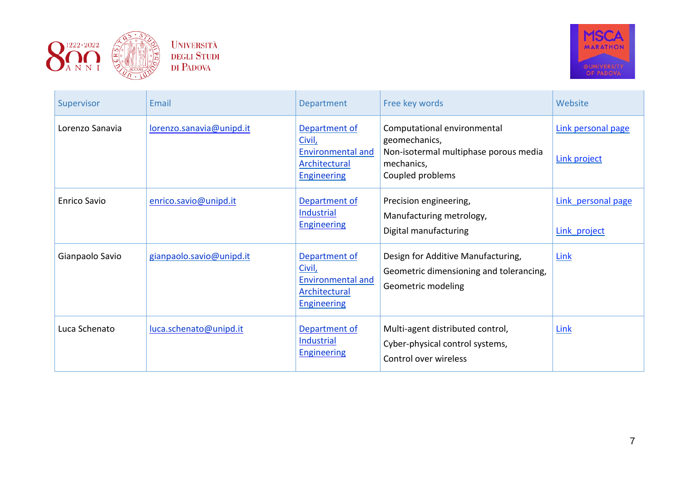



| Supervisor          | Email                    | Department                                                                                        | Free key words                                                                                                          | Website                                   |
|---------------------|--------------------------|---------------------------------------------------------------------------------------------------|-------------------------------------------------------------------------------------------------------------------------|-------------------------------------------|
| Lorenzo Sanavia     | lorenzo.sanavia@unipd.it | Department of<br>Civil,<br><b>Environmental and</b><br>Architectural<br><b>Engineering</b>        | Computational environmental<br>geomechanics,<br>Non-isotermal multiphase porous media<br>mechanics,<br>Coupled problems | Link personal page<br><b>Link project</b> |
| <b>Enrico Savio</b> | enrico.savio@unipd.it    | Department of<br>Industrial<br><b>Engineering</b>                                                 | Precision engineering,<br>Manufacturing metrology,<br>Digital manufacturing                                             | Link personal page<br>Link project        |
| Gianpaolo Savio     | gianpaolo.savio@unipd.it | Department of<br>Civil,<br><b>Environmental and</b><br><b>Architectural</b><br><b>Engineering</b> | Design for Additive Manufacturing,<br>Geometric dimensioning and tolerancing,<br>Geometric modeling                     | Link                                      |
| Luca Schenato       | luca.schenato@unipd.it   | Department of<br>Industrial<br><b>Engineering</b>                                                 | Multi-agent distributed control,<br>Cyber-physical control systems,<br>Control over wireless                            | Link                                      |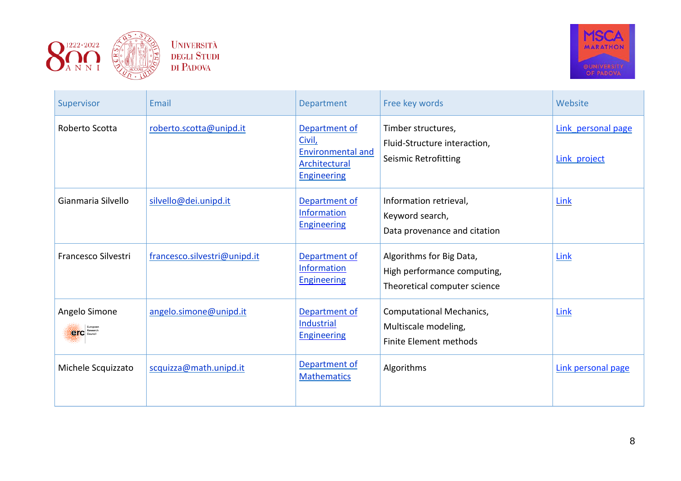



| Supervisor                           | Email                        | Department                                                                                 | Free key words                                                                          | Website                            |
|--------------------------------------|------------------------------|--------------------------------------------------------------------------------------------|-----------------------------------------------------------------------------------------|------------------------------------|
| Roberto Scotta                       | roberto.scotta@unipd.it      | Department of<br>Civil,<br><b>Environmental and</b><br>Architectural<br><b>Engineering</b> | Timber structures,<br>Fluid-Structure interaction,<br><b>Seismic Retrofitting</b>       | Link personal page<br>Link project |
| Gianmaria Silvello                   | silvello@dei.unipd.it        | Department of<br>Information<br><b>Engineering</b>                                         | Information retrieval,<br>Keyword search,<br>Data provenance and citation               | Link                               |
| Francesco Silvestri                  | francesco.silvestri@unipd.it | Department of<br><b>Information</b><br><b>Engineering</b>                                  | Algorithms for Big Data,<br>High performance computing,<br>Theoretical computer science | Link                               |
| Angelo Simone<br><b>CIC</b> Research | angelo.simone@unipd.it       | Department of<br>Industrial<br><b>Engineering</b>                                          | <b>Computational Mechanics,</b><br>Multiscale modeling,<br>Finite Element methods       | Link                               |
| Michele Scquizzato                   | scquizza@math.unipd.it       | Department of<br><b>Mathematics</b>                                                        | Algorithms                                                                              | Link personal page                 |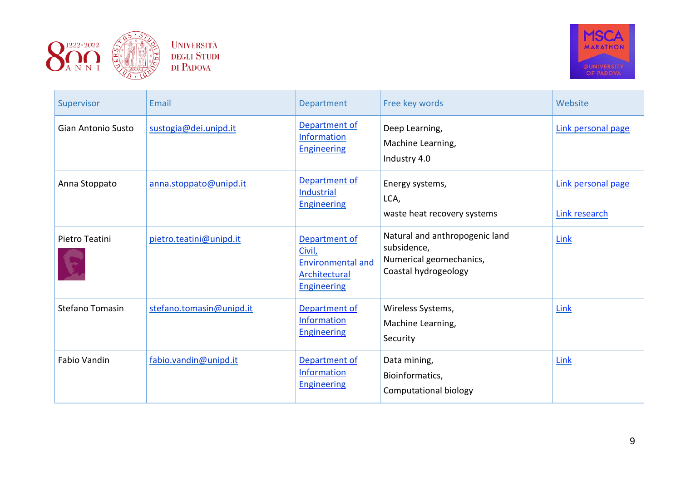



| Supervisor             | Email                    | Department                                                                                 | Free key words                                                                                   | Website                             |
|------------------------|--------------------------|--------------------------------------------------------------------------------------------|--------------------------------------------------------------------------------------------------|-------------------------------------|
| Gian Antonio Susto     | sustogia@dei.unipd.it    | Department of<br>Information<br><b>Engineering</b>                                         | Deep Learning,<br>Machine Learning,<br>Industry 4.0                                              | Link personal page                  |
| Anna Stoppato          | anna.stoppato@unipd.it   | Department of<br>Industrial<br><b>Engineering</b>                                          | Energy systems,<br>LCA,<br>waste heat recovery systems                                           | Link personal page<br>Link research |
| Pietro Teatini         | pietro.teatini@unipd.it  | Department of<br>Civil,<br><b>Environmental and</b><br>Architectural<br><b>Engineering</b> | Natural and anthropogenic land<br>subsidence,<br>Numerical geomechanics,<br>Coastal hydrogeology | Link                                |
| <b>Stefano Tomasin</b> | stefano.tomasin@unipd.it | Department of<br>Information<br><b>Engineering</b>                                         | Wireless Systems,<br>Machine Learning,<br>Security                                               | Link                                |
| Fabio Vandin           | fabio.vandin@unipd.it    | Department of<br>Information<br><b>Engineering</b>                                         | Data mining,<br>Bioinformatics,<br>Computational biology                                         | Link                                |